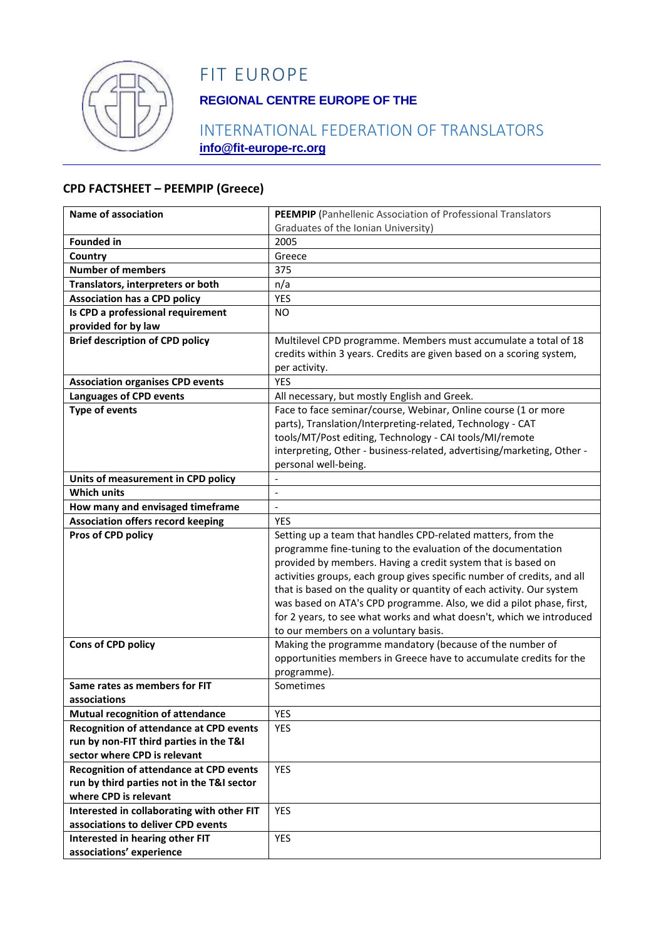

## FIT EUROPE

### **REGIONAL CENTRE EUROPE OF THE**

#### INTERNATIONAL FEDERATION OF TRANSLATORS **info@fit-europe-rc.org**

#### **CPD FACTSHEET – PEEMPIP (Greece)**

| <b>Name of association</b>                     | PEEMPIP (Panhellenic Association of Professional Translators                                                 |
|------------------------------------------------|--------------------------------------------------------------------------------------------------------------|
|                                                | Graduates of the Ionian University)                                                                          |
| <b>Founded in</b>                              | 2005                                                                                                         |
| Country                                        | Greece                                                                                                       |
| <b>Number of members</b>                       | 375                                                                                                          |
| Translators, interpreters or both              | n/a                                                                                                          |
| <b>Association has a CPD policy</b>            | <b>YES</b>                                                                                                   |
| Is CPD a professional requirement              | N <sub>O</sub>                                                                                               |
| provided for by law                            |                                                                                                              |
| <b>Brief description of CPD policy</b>         | Multilevel CPD programme. Members must accumulate a total of 18                                              |
|                                                | credits within 3 years. Credits are given based on a scoring system,                                         |
|                                                | per activity.                                                                                                |
| <b>Association organises CPD events</b>        | <b>YES</b>                                                                                                   |
| <b>Languages of CPD events</b>                 | All necessary, but mostly English and Greek.                                                                 |
| <b>Type of events</b>                          | Face to face seminar/course, Webinar, Online course (1 or more                                               |
|                                                | parts), Translation/Interpreting-related, Technology - CAT                                                   |
|                                                | tools/MT/Post editing, Technology - CAI tools/MI/remote                                                      |
|                                                | interpreting, Other - business-related, advertising/marketing, Other -                                       |
|                                                | personal well-being.                                                                                         |
| Units of measurement in CPD policy             |                                                                                                              |
| <b>Which units</b>                             |                                                                                                              |
| How many and envisaged timeframe               | $\overline{\phantom{a}}$                                                                                     |
| <b>Association offers record keeping</b>       | <b>YES</b>                                                                                                   |
| Pros of CPD policy                             | Setting up a team that handles CPD-related matters, from the                                                 |
|                                                | programme fine-tuning to the evaluation of the documentation                                                 |
|                                                | provided by members. Having a credit system that is based on                                                 |
|                                                | activities groups, each group gives specific number of credits, and all                                      |
|                                                | that is based on the quality or quantity of each activity. Our system                                        |
|                                                | was based on ATA's CPD programme. Also, we did a pilot phase, first,                                         |
|                                                | for 2 years, to see what works and what doesn't, which we introduced<br>to our members on a voluntary basis. |
| Cons of CPD policy                             | Making the programme mandatory (because of the number of                                                     |
|                                                | opportunities members in Greece have to accumulate credits for the                                           |
|                                                | programme).                                                                                                  |
| Same rates as members for FIT                  | Sometimes                                                                                                    |
| associations                                   |                                                                                                              |
| <b>Mutual recognition of attendance</b>        | <b>YES</b>                                                                                                   |
| <b>Recognition of attendance at CPD events</b> | YES                                                                                                          |
| run by non-FIT third parties in the T&I        |                                                                                                              |
| sector where CPD is relevant                   |                                                                                                              |
| <b>Recognition of attendance at CPD events</b> | YES                                                                                                          |
| run by third parties not in the T&I sector     |                                                                                                              |
| where CPD is relevant                          |                                                                                                              |
| Interested in collaborating with other FIT     | YES                                                                                                          |
| associations to deliver CPD events             |                                                                                                              |
| Interested in hearing other FIT                | YES                                                                                                          |
| associations' experience                       |                                                                                                              |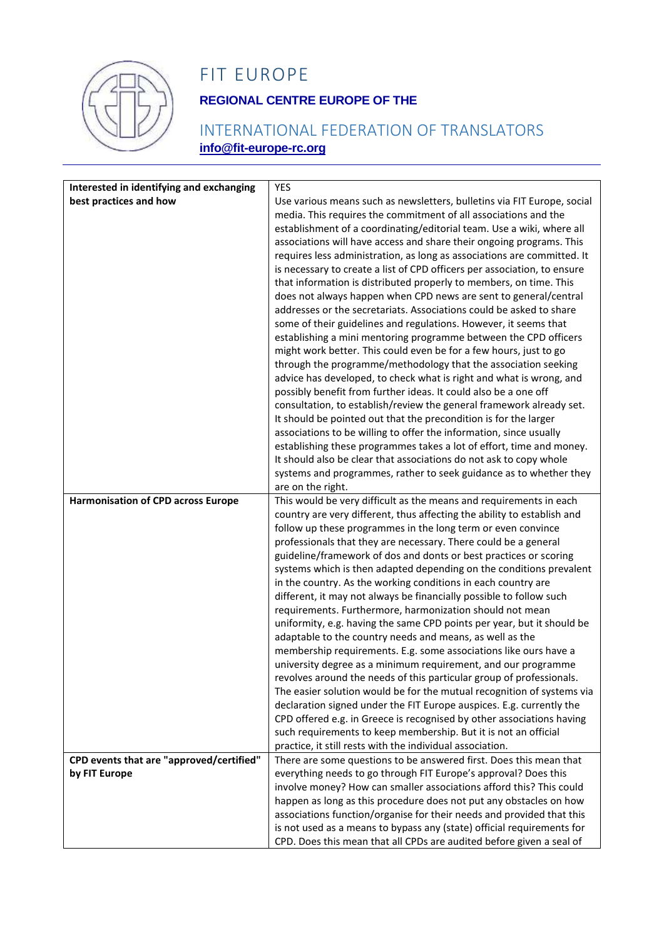

# FIT EUROPE

### **REGIONAL CENTRE EUROPE OF THE**

### INTERNATIONAL FEDERATION OF TRANSLATORS **info@fit-europe-rc.org**

| Interested in identifying and exchanging<br>best practices and how<br>Use various means such as newsletters, bulletins via FIT Europe, social<br>media. This requires the commitment of all associations and the<br>establishment of a coordinating/editorial team. Use a wiki, where all<br>associations will have access and share their ongoing programs. This<br>requires less administration, as long as associations are committed. It<br>is necessary to create a list of CPD officers per association, to ensure<br>that information is distributed properly to members, on time. This<br>does not always happen when CPD news are sent to general/central<br>addresses or the secretariats. Associations could be asked to share<br>some of their guidelines and regulations. However, it seems that<br>establishing a mini mentoring programme between the CPD officers<br>might work better. This could even be for a few hours, just to go<br>through the programme/methodology that the association seeking<br>advice has developed, to check what is right and what is wrong, and<br>possibly benefit from further ideas. It could also be a one off<br>consultation, to establish/review the general framework already set.<br>It should be pointed out that the precondition is for the larger<br>associations to be willing to offer the information, since usually<br>establishing these programmes takes a lot of effort, time and money.<br>It should also be clear that associations do not ask to copy whole<br>systems and programmes, rather to seek guidance as to whether they<br>are on the right.<br><b>Harmonisation of CPD across Europe</b><br>This would be very difficult as the means and requirements in each<br>country are very different, thus affecting the ability to establish and<br>follow up these programmes in the long term or even convince<br>professionals that they are necessary. There could be a general<br>guideline/framework of dos and donts or best practices or scoring |
|-------------------------------------------------------------------------------------------------------------------------------------------------------------------------------------------------------------------------------------------------------------------------------------------------------------------------------------------------------------------------------------------------------------------------------------------------------------------------------------------------------------------------------------------------------------------------------------------------------------------------------------------------------------------------------------------------------------------------------------------------------------------------------------------------------------------------------------------------------------------------------------------------------------------------------------------------------------------------------------------------------------------------------------------------------------------------------------------------------------------------------------------------------------------------------------------------------------------------------------------------------------------------------------------------------------------------------------------------------------------------------------------------------------------------------------------------------------------------------------------------------------------------------------------------------------------------------------------------------------------------------------------------------------------------------------------------------------------------------------------------------------------------------------------------------------------------------------------------------------------------------------------------------------------------------------------------------------------------------------------------------------------------------------|
|                                                                                                                                                                                                                                                                                                                                                                                                                                                                                                                                                                                                                                                                                                                                                                                                                                                                                                                                                                                                                                                                                                                                                                                                                                                                                                                                                                                                                                                                                                                                                                                                                                                                                                                                                                                                                                                                                                                                                                                                                                     |
|                                                                                                                                                                                                                                                                                                                                                                                                                                                                                                                                                                                                                                                                                                                                                                                                                                                                                                                                                                                                                                                                                                                                                                                                                                                                                                                                                                                                                                                                                                                                                                                                                                                                                                                                                                                                                                                                                                                                                                                                                                     |
|                                                                                                                                                                                                                                                                                                                                                                                                                                                                                                                                                                                                                                                                                                                                                                                                                                                                                                                                                                                                                                                                                                                                                                                                                                                                                                                                                                                                                                                                                                                                                                                                                                                                                                                                                                                                                                                                                                                                                                                                                                     |
|                                                                                                                                                                                                                                                                                                                                                                                                                                                                                                                                                                                                                                                                                                                                                                                                                                                                                                                                                                                                                                                                                                                                                                                                                                                                                                                                                                                                                                                                                                                                                                                                                                                                                                                                                                                                                                                                                                                                                                                                                                     |
|                                                                                                                                                                                                                                                                                                                                                                                                                                                                                                                                                                                                                                                                                                                                                                                                                                                                                                                                                                                                                                                                                                                                                                                                                                                                                                                                                                                                                                                                                                                                                                                                                                                                                                                                                                                                                                                                                                                                                                                                                                     |
|                                                                                                                                                                                                                                                                                                                                                                                                                                                                                                                                                                                                                                                                                                                                                                                                                                                                                                                                                                                                                                                                                                                                                                                                                                                                                                                                                                                                                                                                                                                                                                                                                                                                                                                                                                                                                                                                                                                                                                                                                                     |
|                                                                                                                                                                                                                                                                                                                                                                                                                                                                                                                                                                                                                                                                                                                                                                                                                                                                                                                                                                                                                                                                                                                                                                                                                                                                                                                                                                                                                                                                                                                                                                                                                                                                                                                                                                                                                                                                                                                                                                                                                                     |
|                                                                                                                                                                                                                                                                                                                                                                                                                                                                                                                                                                                                                                                                                                                                                                                                                                                                                                                                                                                                                                                                                                                                                                                                                                                                                                                                                                                                                                                                                                                                                                                                                                                                                                                                                                                                                                                                                                                                                                                                                                     |
|                                                                                                                                                                                                                                                                                                                                                                                                                                                                                                                                                                                                                                                                                                                                                                                                                                                                                                                                                                                                                                                                                                                                                                                                                                                                                                                                                                                                                                                                                                                                                                                                                                                                                                                                                                                                                                                                                                                                                                                                                                     |
|                                                                                                                                                                                                                                                                                                                                                                                                                                                                                                                                                                                                                                                                                                                                                                                                                                                                                                                                                                                                                                                                                                                                                                                                                                                                                                                                                                                                                                                                                                                                                                                                                                                                                                                                                                                                                                                                                                                                                                                                                                     |
|                                                                                                                                                                                                                                                                                                                                                                                                                                                                                                                                                                                                                                                                                                                                                                                                                                                                                                                                                                                                                                                                                                                                                                                                                                                                                                                                                                                                                                                                                                                                                                                                                                                                                                                                                                                                                                                                                                                                                                                                                                     |
|                                                                                                                                                                                                                                                                                                                                                                                                                                                                                                                                                                                                                                                                                                                                                                                                                                                                                                                                                                                                                                                                                                                                                                                                                                                                                                                                                                                                                                                                                                                                                                                                                                                                                                                                                                                                                                                                                                                                                                                                                                     |
|                                                                                                                                                                                                                                                                                                                                                                                                                                                                                                                                                                                                                                                                                                                                                                                                                                                                                                                                                                                                                                                                                                                                                                                                                                                                                                                                                                                                                                                                                                                                                                                                                                                                                                                                                                                                                                                                                                                                                                                                                                     |
|                                                                                                                                                                                                                                                                                                                                                                                                                                                                                                                                                                                                                                                                                                                                                                                                                                                                                                                                                                                                                                                                                                                                                                                                                                                                                                                                                                                                                                                                                                                                                                                                                                                                                                                                                                                                                                                                                                                                                                                                                                     |
|                                                                                                                                                                                                                                                                                                                                                                                                                                                                                                                                                                                                                                                                                                                                                                                                                                                                                                                                                                                                                                                                                                                                                                                                                                                                                                                                                                                                                                                                                                                                                                                                                                                                                                                                                                                                                                                                                                                                                                                                                                     |
|                                                                                                                                                                                                                                                                                                                                                                                                                                                                                                                                                                                                                                                                                                                                                                                                                                                                                                                                                                                                                                                                                                                                                                                                                                                                                                                                                                                                                                                                                                                                                                                                                                                                                                                                                                                                                                                                                                                                                                                                                                     |
|                                                                                                                                                                                                                                                                                                                                                                                                                                                                                                                                                                                                                                                                                                                                                                                                                                                                                                                                                                                                                                                                                                                                                                                                                                                                                                                                                                                                                                                                                                                                                                                                                                                                                                                                                                                                                                                                                                                                                                                                                                     |
|                                                                                                                                                                                                                                                                                                                                                                                                                                                                                                                                                                                                                                                                                                                                                                                                                                                                                                                                                                                                                                                                                                                                                                                                                                                                                                                                                                                                                                                                                                                                                                                                                                                                                                                                                                                                                                                                                                                                                                                                                                     |
|                                                                                                                                                                                                                                                                                                                                                                                                                                                                                                                                                                                                                                                                                                                                                                                                                                                                                                                                                                                                                                                                                                                                                                                                                                                                                                                                                                                                                                                                                                                                                                                                                                                                                                                                                                                                                                                                                                                                                                                                                                     |
|                                                                                                                                                                                                                                                                                                                                                                                                                                                                                                                                                                                                                                                                                                                                                                                                                                                                                                                                                                                                                                                                                                                                                                                                                                                                                                                                                                                                                                                                                                                                                                                                                                                                                                                                                                                                                                                                                                                                                                                                                                     |
|                                                                                                                                                                                                                                                                                                                                                                                                                                                                                                                                                                                                                                                                                                                                                                                                                                                                                                                                                                                                                                                                                                                                                                                                                                                                                                                                                                                                                                                                                                                                                                                                                                                                                                                                                                                                                                                                                                                                                                                                                                     |
|                                                                                                                                                                                                                                                                                                                                                                                                                                                                                                                                                                                                                                                                                                                                                                                                                                                                                                                                                                                                                                                                                                                                                                                                                                                                                                                                                                                                                                                                                                                                                                                                                                                                                                                                                                                                                                                                                                                                                                                                                                     |
|                                                                                                                                                                                                                                                                                                                                                                                                                                                                                                                                                                                                                                                                                                                                                                                                                                                                                                                                                                                                                                                                                                                                                                                                                                                                                                                                                                                                                                                                                                                                                                                                                                                                                                                                                                                                                                                                                                                                                                                                                                     |
|                                                                                                                                                                                                                                                                                                                                                                                                                                                                                                                                                                                                                                                                                                                                                                                                                                                                                                                                                                                                                                                                                                                                                                                                                                                                                                                                                                                                                                                                                                                                                                                                                                                                                                                                                                                                                                                                                                                                                                                                                                     |
|                                                                                                                                                                                                                                                                                                                                                                                                                                                                                                                                                                                                                                                                                                                                                                                                                                                                                                                                                                                                                                                                                                                                                                                                                                                                                                                                                                                                                                                                                                                                                                                                                                                                                                                                                                                                                                                                                                                                                                                                                                     |
| systems which is then adapted depending on the conditions prevalent                                                                                                                                                                                                                                                                                                                                                                                                                                                                                                                                                                                                                                                                                                                                                                                                                                                                                                                                                                                                                                                                                                                                                                                                                                                                                                                                                                                                                                                                                                                                                                                                                                                                                                                                                                                                                                                                                                                                                                 |
| in the country. As the working conditions in each country are                                                                                                                                                                                                                                                                                                                                                                                                                                                                                                                                                                                                                                                                                                                                                                                                                                                                                                                                                                                                                                                                                                                                                                                                                                                                                                                                                                                                                                                                                                                                                                                                                                                                                                                                                                                                                                                                                                                                                                       |
| different, it may not always be financially possible to follow such                                                                                                                                                                                                                                                                                                                                                                                                                                                                                                                                                                                                                                                                                                                                                                                                                                                                                                                                                                                                                                                                                                                                                                                                                                                                                                                                                                                                                                                                                                                                                                                                                                                                                                                                                                                                                                                                                                                                                                 |
| requirements. Furthermore, harmonization should not mean                                                                                                                                                                                                                                                                                                                                                                                                                                                                                                                                                                                                                                                                                                                                                                                                                                                                                                                                                                                                                                                                                                                                                                                                                                                                                                                                                                                                                                                                                                                                                                                                                                                                                                                                                                                                                                                                                                                                                                            |
| uniformity, e.g. having the same CPD points per year, but it should be                                                                                                                                                                                                                                                                                                                                                                                                                                                                                                                                                                                                                                                                                                                                                                                                                                                                                                                                                                                                                                                                                                                                                                                                                                                                                                                                                                                                                                                                                                                                                                                                                                                                                                                                                                                                                                                                                                                                                              |
| adaptable to the country needs and means, as well as the                                                                                                                                                                                                                                                                                                                                                                                                                                                                                                                                                                                                                                                                                                                                                                                                                                                                                                                                                                                                                                                                                                                                                                                                                                                                                                                                                                                                                                                                                                                                                                                                                                                                                                                                                                                                                                                                                                                                                                            |
| membership requirements. E.g. some associations like ours have a                                                                                                                                                                                                                                                                                                                                                                                                                                                                                                                                                                                                                                                                                                                                                                                                                                                                                                                                                                                                                                                                                                                                                                                                                                                                                                                                                                                                                                                                                                                                                                                                                                                                                                                                                                                                                                                                                                                                                                    |
| university degree as a minimum requirement, and our programme                                                                                                                                                                                                                                                                                                                                                                                                                                                                                                                                                                                                                                                                                                                                                                                                                                                                                                                                                                                                                                                                                                                                                                                                                                                                                                                                                                                                                                                                                                                                                                                                                                                                                                                                                                                                                                                                                                                                                                       |
| revolves around the needs of this particular group of professionals.<br>The easier solution would be for the mutual recognition of systems via                                                                                                                                                                                                                                                                                                                                                                                                                                                                                                                                                                                                                                                                                                                                                                                                                                                                                                                                                                                                                                                                                                                                                                                                                                                                                                                                                                                                                                                                                                                                                                                                                                                                                                                                                                                                                                                                                      |
| declaration signed under the FIT Europe auspices. E.g. currently the                                                                                                                                                                                                                                                                                                                                                                                                                                                                                                                                                                                                                                                                                                                                                                                                                                                                                                                                                                                                                                                                                                                                                                                                                                                                                                                                                                                                                                                                                                                                                                                                                                                                                                                                                                                                                                                                                                                                                                |
| CPD offered e.g. in Greece is recognised by other associations having                                                                                                                                                                                                                                                                                                                                                                                                                                                                                                                                                                                                                                                                                                                                                                                                                                                                                                                                                                                                                                                                                                                                                                                                                                                                                                                                                                                                                                                                                                                                                                                                                                                                                                                                                                                                                                                                                                                                                               |
| such requirements to keep membership. But it is not an official                                                                                                                                                                                                                                                                                                                                                                                                                                                                                                                                                                                                                                                                                                                                                                                                                                                                                                                                                                                                                                                                                                                                                                                                                                                                                                                                                                                                                                                                                                                                                                                                                                                                                                                                                                                                                                                                                                                                                                     |
| practice, it still rests with the individual association.                                                                                                                                                                                                                                                                                                                                                                                                                                                                                                                                                                                                                                                                                                                                                                                                                                                                                                                                                                                                                                                                                                                                                                                                                                                                                                                                                                                                                                                                                                                                                                                                                                                                                                                                                                                                                                                                                                                                                                           |
| CPD events that are "approved/certified"<br>There are some questions to be answered first. Does this mean that                                                                                                                                                                                                                                                                                                                                                                                                                                                                                                                                                                                                                                                                                                                                                                                                                                                                                                                                                                                                                                                                                                                                                                                                                                                                                                                                                                                                                                                                                                                                                                                                                                                                                                                                                                                                                                                                                                                      |
| everything needs to go through FIT Europe's approval? Does this<br>by FIT Europe                                                                                                                                                                                                                                                                                                                                                                                                                                                                                                                                                                                                                                                                                                                                                                                                                                                                                                                                                                                                                                                                                                                                                                                                                                                                                                                                                                                                                                                                                                                                                                                                                                                                                                                                                                                                                                                                                                                                                    |
| involve money? How can smaller associations afford this? This could                                                                                                                                                                                                                                                                                                                                                                                                                                                                                                                                                                                                                                                                                                                                                                                                                                                                                                                                                                                                                                                                                                                                                                                                                                                                                                                                                                                                                                                                                                                                                                                                                                                                                                                                                                                                                                                                                                                                                                 |
| happen as long as this procedure does not put any obstacles on how                                                                                                                                                                                                                                                                                                                                                                                                                                                                                                                                                                                                                                                                                                                                                                                                                                                                                                                                                                                                                                                                                                                                                                                                                                                                                                                                                                                                                                                                                                                                                                                                                                                                                                                                                                                                                                                                                                                                                                  |
| associations function/organise for their needs and provided that this                                                                                                                                                                                                                                                                                                                                                                                                                                                                                                                                                                                                                                                                                                                                                                                                                                                                                                                                                                                                                                                                                                                                                                                                                                                                                                                                                                                                                                                                                                                                                                                                                                                                                                                                                                                                                                                                                                                                                               |
| is not used as a means to bypass any (state) official requirements for<br>CPD. Does this mean that all CPDs are audited before given a seal of                                                                                                                                                                                                                                                                                                                                                                                                                                                                                                                                                                                                                                                                                                                                                                                                                                                                                                                                                                                                                                                                                                                                                                                                                                                                                                                                                                                                                                                                                                                                                                                                                                                                                                                                                                                                                                                                                      |